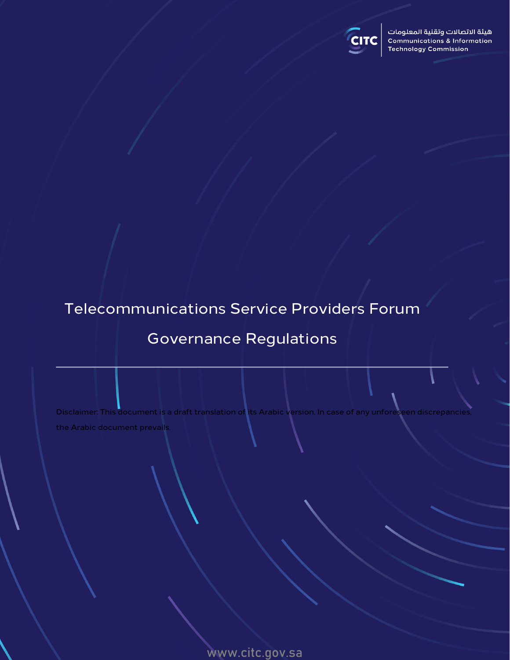

هيئة الاتصالات وتقنية المعلومات **Communications & Information Technology Commission** 

# Telecommunications Service Providers Forum

## Governance Regulations

Disclaimer: This document is a draft translation of its Arabic version. In case of any unforeseen discrepancies the Arabic document prevails.

www.citc.gov.sa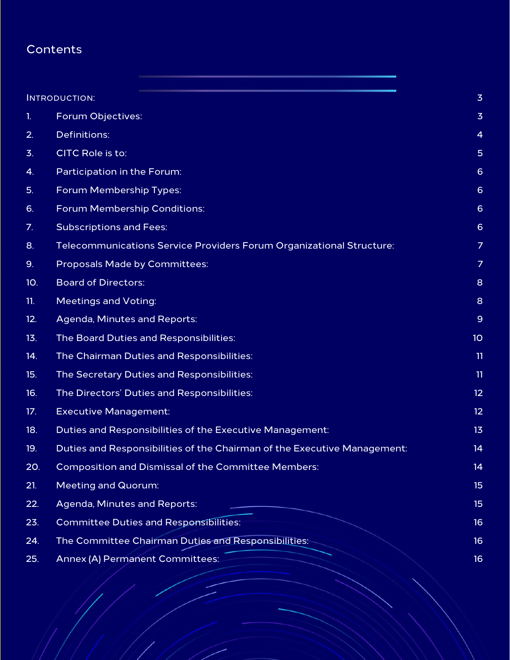## **Contents**

|                | <b>INTRODUCTION:</b>                                                     | $\overline{3}$  |
|----------------|--------------------------------------------------------------------------|-----------------|
| $\mathbf{1}$ . | Forum Objectives:                                                        | $\overline{3}$  |
| 2.             | Definitions:                                                             | $\overline{4}$  |
| 3.             | CITC Role is to:                                                         | 5               |
| 4.             | Participation in the Forum:                                              | $6\phantom{1}6$ |
| 5.             | Forum Membership Types:                                                  | $6\phantom{1}6$ |
| 6.             | Forum Membership Conditions:                                             | $6\phantom{1}6$ |
| 7.             | <b>Subscriptions and Fees:</b>                                           | $6\phantom{1}6$ |
| 8.             | Telecommunications Service Providers Forum Organizational Structure:     | $\overline{7}$  |
| 9.             | Proposals Made by Committees:                                            | $\overline{7}$  |
| 10.            | <b>Board of Directors:</b>                                               | 8               |
| 11.            | <b>Meetings and Voting:</b>                                              | 8               |
| 12.            | Agenda, Minutes and Reports:                                             | $\mathsf 9$     |
| 13.            | The Board Duties and Responsibilities:                                   | 10              |
| 14.            | The Chairman Duties and Responsibilities:                                | 11              |
| 15.            | The Secretary Duties and Responsibilities:                               | 11              |
| 16.            | The Directors' Duties and Responsibilities:                              | 12              |
| 17.            | <b>Executive Management:</b>                                             | 12              |
| 18.            | Duties and Responsibilities of the Executive Management:                 | 13              |
| 19.            | Duties and Responsibilities of the Chairman of the Executive Management: | 14              |
| 20.            | <b>Composition and Dismissal of the Committee Members:</b>               | 14              |
| 21.            | <b>Meeting and Quorum:</b>                                               | 15              |
| 22.            | Agenda, Minutes and Reports:                                             | 15              |
| 23.            | <b>Committee Duties and Responsibilities:</b>                            | 16              |
| 24.            | The Committee Chairman Duties and Responsibilities:                      | 16              |
| 25.            | Annex (A) Permanent Committees:                                          | 16              |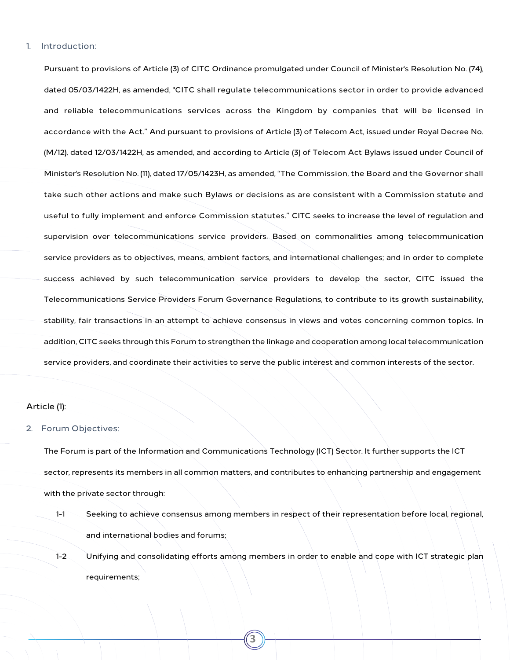#### <span id="page-2-0"></span>1. Introduction:

Pursuant to provisions of Article (3) of CITC Ordinance promulgated under Council of Minister's Resolution No. (74), dated 05/03/1422H, as amended, "CITC shall regulate telecommunications sector in order to provide advanced and reliable telecommunications services across the Kingdom by companies that will be licensed in accordance with the Act." And pursuant to provisions of Article (3) of Telecom Act, issued under Royal Decree No. (M/12), dated 12/03/1422H, as amended, and according to Article (3) of Telecom Act Bylaws issued under Council of Minister's Resolution No. (11), dated 17/05/1423H, as amended, "The Commission, the Board and the Governor shall take such other actions and make such Bylaws or decisions as are consistent with a Commission statute and useful to fully implement and enforce Commission statutes." CITC seeks to increase the level of regulation and supervision over telecommunications service providers. Based on commonalities among telecommunication service providers as to objectives, means, ambient factors, and international challenges; and in order to complete success achieved by such telecommunication service providers to develop the sector, CITC issued the Telecommunications Service Providers Forum Governance Regulations, to contribute to its growth sustainability, stability, fair transactions in an attempt to achieve consensus in views and votes concerning common topics. In addition, CITC seeks through this Forum to strengthen the linkage and cooperation among local telecommunication service providers, and coordinate their activities to serve the public interest and common interests of the sector.

#### Article (1):

#### <span id="page-2-1"></span>2. Forum Objectives:

The Forum is part of the Information and Communications Technology (ICT) Sector. It further supports the ICT sector, represents its members in all common matters, and contributes to enhancing partnership and engagement with the private sector through:

- 1-1 Seeking to achieve consensus among members in respect of their representation before local, regional, and international bodies and forums;
- 1-2 Unifying and consolidating efforts among members in order to enable and cope with ICT strategic plan requirements;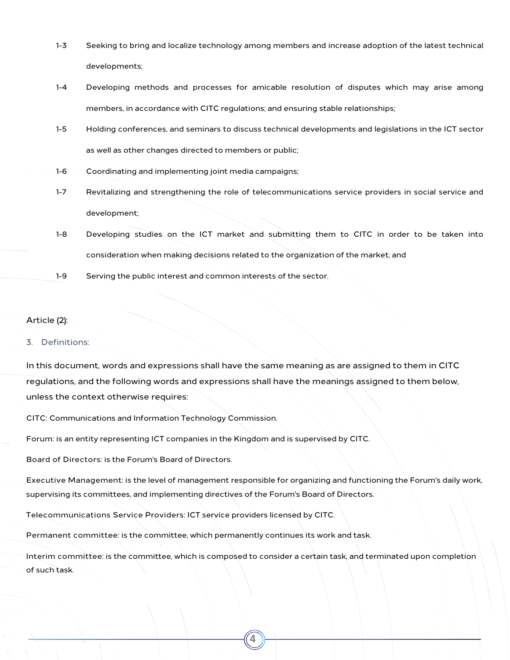- 1-3 Seeking to bring and localize technology among members and increase adoption of the latest technical developments;
- 1-4 Developing methods and processes for amicable resolution of disputes which may arise among members, in accordance with CITC regulations; and ensuring stable relationships;
- 1-5 Holding conferences, and seminars to discuss technical developments and legislations in the ICT sector as well as other changes directed to members or public;
- 1-6 Coordinating and implementing joint media campaigns;
- 1-7 Revitalizing and strengthening the role of telecommunications service providers in social service and development;
- 1-8 Developing studies on the ICT market and submitting them to CITC in order to be taken into consideration when making decisions related to the organization of the market; and
- 1-9 Serving the public interest and common interests of the sector.

## Article (2):

#### <span id="page-3-0"></span>3. Definitions:

In this document, words and expressions shall have the same meaning as are assigned to them in CITC regulations, and the following words and expressions shall have the meanings assigned to them below, unless the context otherwise requires:

CITC: Communications and Information Technology Commission.

Forum: is an entity representing ICT companies in the Kingdom and is supervised by CITC.

Board of Directors: is the Forum's Board of Directors.

Executive Management: is the level of management responsible for organizing and functioning the Forum's daily work, supervising its committees, and implementing directives of the Forum's Board of Directors.

Telecommunications Service Providers: ICT service providers licensed by CITC.

Permanent committee: is the committee, which permanently continues its work and task.

Interim committee: is the committee, which is composed to consider a certain task, and terminated upon completion of such task.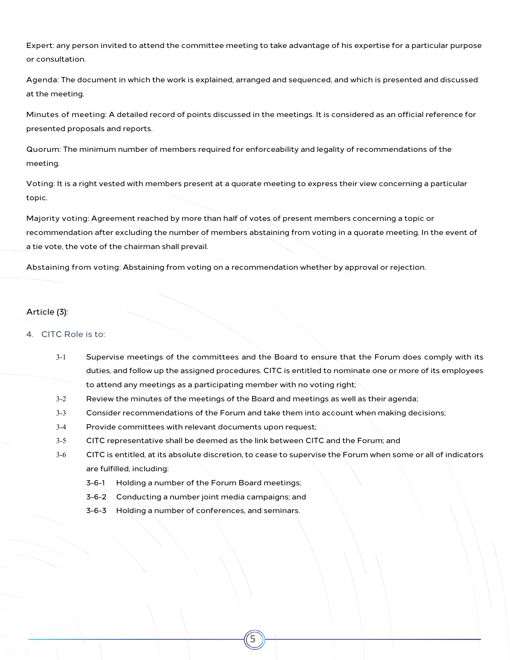Expert: any person invited to attend the committee meeting to take advantage of his expertise for a particular purpose or consultation.

Agenda: The document in which the work is explained, arranged and sequenced, and which is presented and discussed at the meeting.

Minutes of meeting: A detailed record of points discussed in the meetings. It is considered as an official reference for presented proposals and reports.

Quorum: The minimum number of members required for enforceability and legality of recommendations of the meeting.

Voting: It is a right vested with members present at a quorate meeting to express their view concerning a particular topic.

Majority voting: Agreement reached by more than half of votes of present members concerning a topic or recommendation after excluding the number of members abstaining from voting in a quorate meeting. In the event of a tie vote, the vote of the chairman shall prevail.

Abstaining from voting: Abstaining from voting on a recommendation whether by approval or rejection.

## Article (3):

## <span id="page-4-0"></span>4. CITC Role is to:

| $3-1$   | Supervise meetings of the committees and the Board to ensure that the Forum does comply with its             |  |
|---------|--------------------------------------------------------------------------------------------------------------|--|
|         | duties, and follow up the assigned procedures. CITC is entitled to nominate one or more of its employees     |  |
|         | to attend any meetings as a participating member with no voting right;                                       |  |
| $3 - 2$ | Review the minutes of the meetings of the Board and meetings as well as their agenda;                        |  |
| $3 - 3$ | Consider recommendations of the Forum and take them into account when making decisions;                      |  |
| $3-4$   | Provide committees with relevant documents upon request;                                                     |  |
| $3 - 5$ | CITC representative shall be deemed as the link between CITC and the Forum; and                              |  |
| $3-6$   | CITC is entitled, at its absolute discretion, to cease to supervise the Forum when some or all of indicators |  |
|         | are fulfilled, including:                                                                                    |  |
|         | Holding a number of the Forum Board meetings;<br>$3 - 6 - 1$                                                 |  |
|         | Conducting a number joint media campaigns; and<br>$3 - 6 - 2$                                                |  |
|         | Holding a number of conferences, and seminars.<br>$3 - 6 - 3$                                                |  |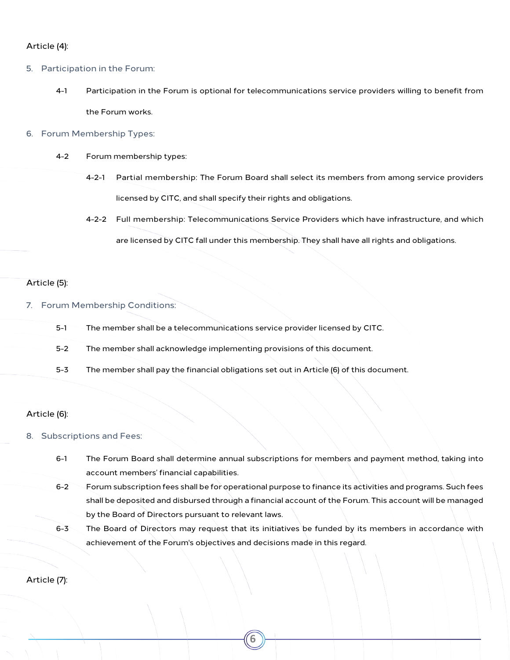## Article (4):

- <span id="page-5-0"></span>5. Participation in the Forum:
	- 4-1 Participation in the Forum is optional for telecommunications service providers willing to benefit from the Forum works.
- <span id="page-5-1"></span>6. Forum Membership Types:
	- 4-2 Forum membership types:
		- 4-2-1 Partial membership: The Forum Board shall select its members from among service providers licensed by CITC, and shall specify their rights and obligations.
		- 4-2-2 Full membership: Telecommunications Service Providers which have infrastructure, and which are licensed by CITC fall under this membership. They shall have all rights and obligations.

### Article (5):

- <span id="page-5-2"></span>7. Forum Membership Conditions:
	- 5-1 The member shall be a telecommunications service provider licensed by CITC.
	- 5-2 The member shall acknowledge implementing provisions of this document.
	- 5-3 The member shall pay the financial obligations set out in Article (6) of this document.

#### Article (6):

#### <span id="page-5-3"></span>8. Subscriptions and Fees:

- 6-1 The Forum Board shall determine annual subscriptions for members and payment method, taking into account members' financial capabilities.
- 6-2 Forum subscription fees shall be for operational purpose to finance its activities and programs. Such fees shall be deposited and disbursed through a financial account of the Forum. This account will be managed by the Board of Directors pursuant to relevant laws.
- 6-3 The Board of Directors may request that its initiatives be funded by its members in accordance with achievement of the Forum's objectives and decisions made in this regard.

**6**

Article (7):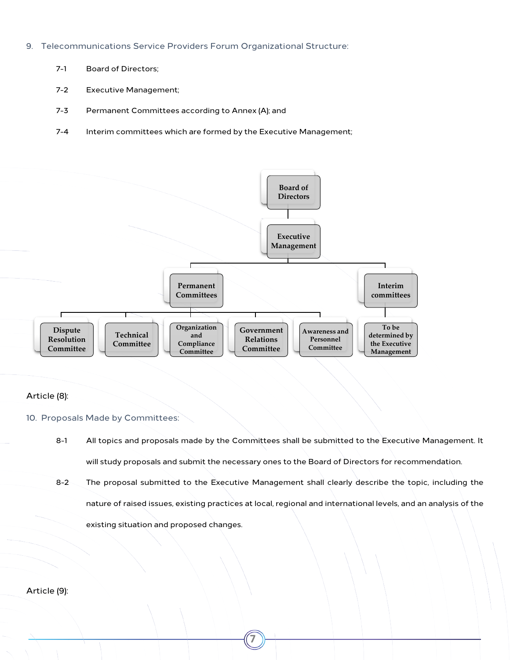- <span id="page-6-0"></span>9. Telecommunications Service Providers Forum Organizational Structure:
	- 7-1 Board of Directors;
	- 7-2 Executive Management;
	- 7-3 Permanent Committees according to Annex (A); and
	- 7-4 Interim committees which are formed by the Executive Management;



## Article (8):

## <span id="page-6-1"></span>10. Proposals Made by Committees:

- 8-1 All topics and proposals made by the Committees shall be submitted to the Executive Management. It will study proposals and submit the necessary ones to the Board of Directors for recommendation.
- 8-2 The proposal submitted to the Executive Management shall clearly describe the topic, including the nature of raised issues, existing practices at local, regional and international levels, and an analysis of the existing situation and proposed changes.

**7**

Article (9):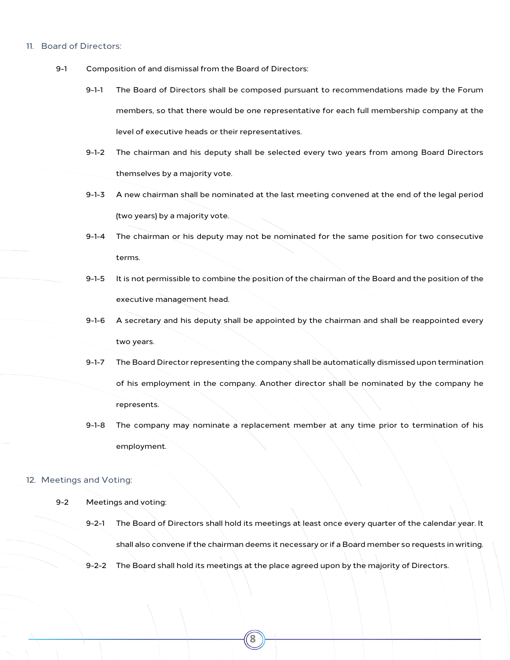#### <span id="page-7-0"></span>11. Board of Directors:

- 9-1 Composition of and dismissal from the Board of Directors:
	- 9-1-1 The Board of Directors shall be composed pursuant to recommendations made by the Forum members, so that there would be one representative for each full membership company at the level of executive heads or their representatives.
	- 9-1-2 The chairman and his deputy shall be selected every two years from among Board Directors themselves by a majority vote.
	- 9-1-3 A new chairman shall be nominated at the last meeting convened at the end of the legal period (two years) by a majority vote.
	- 9-1-4 The chairman or his deputy may not be nominated for the same position for two consecutive terms.
	- 9-1-5 It is not permissible to combine the position of the chairman of the Board and the position of the executive management head.
	- 9-1-6 A secretary and his deputy shall be appointed by the chairman and shall be reappointed every two years.
	- 9-1-7 The Board Director representing the company shall be automatically dismissed upon termination of his employment in the company. Another director shall be nominated by the company he represents.
	- 9-1-8 The company may nominate a replacement member at any time prior to termination of his employment.

#### <span id="page-7-1"></span>12. Meetings and Voting:

#### 9-2 Meetings and voting:

- 9-2-1 The Board of Directors shall hold its meetings at least once every quarter of the calendar year. It shall also convene if the chairman deems it necessary or if a Board member so requests in writing.
- 9-2-2 The Board shall hold its meetings at the place agreed upon by the majority of Directors.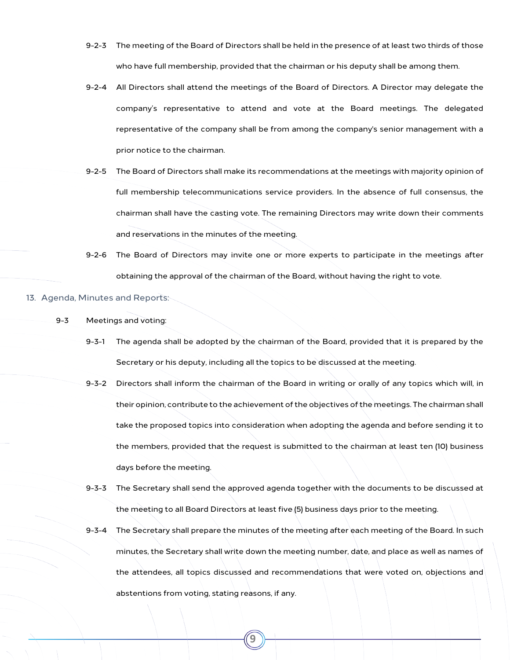- 9-2-3 The meeting of the Board of Directors shall be held in the presence of at least two thirds of those who have full membership, provided that the chairman or his deputy shall be among them.
- 9-2-4 All Directors shall attend the meetings of the Board of Directors. A Director may delegate the company's representative to attend and vote at the Board meetings. The delegated representative of the company shall be from among the company's senior management with a prior notice to the chairman.
- 9-2-5 The Board of Directors shall make its recommendations at the meetings with majority opinion of full membership telecommunications service providers. In the absence of full consensus, the chairman shall have the casting vote. The remaining Directors may write down their comments and reservations in the minutes of the meeting.
- 9-2-6 The Board of Directors may invite one or more experts to participate in the meetings after obtaining the approval of the chairman of the Board, without having the right to vote.

#### <span id="page-8-0"></span>13. Agenda, Minutes and Reports:

- 9-3 Meetings and voting:
	- 9-3-1 The agenda shall be adopted by the chairman of the Board, provided that it is prepared by the Secretary or his deputy, including all the topics to be discussed at the meeting.
	- 9-3-2 Directors shall inform the chairman of the Board in writing or orally of any topics which will, in their opinion, contribute to the achievement of the objectives of the meetings. The chairman shall take the proposed topics into consideration when adopting the agenda and before sending it to the members, provided that the request is submitted to the chairman at least ten (10) business days before the meeting.
	- 9-3-3 The Secretary shall send the approved agenda together with the documents to be discussed at the meeting to all Board Directors at least five (5) business days prior to the meeting.
	- 9-3-4 The Secretary shall prepare the minutes of the meeting after each meeting of the Board. In such minutes, the Secretary shall write down the meeting number, date, and place as well as names of the attendees, all topics discussed and recommendations that were voted on, objections and abstentions from voting, stating reasons, if any.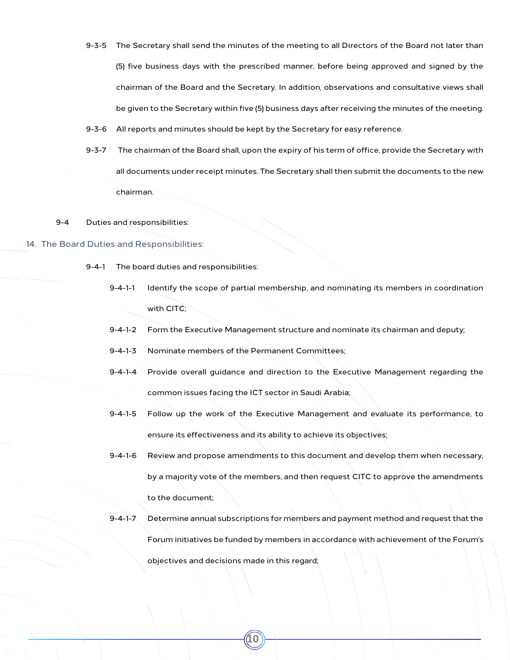- 9-3-5 The Secretary shall send the minutes of the meeting to all Directors of the Board not later than (5) five business days with the prescribed manner, before being approved and signed by the chairman of the Board and the Secretary. In addition, observations and consultative views shall be given to the Secretary within five (5) business days after receiving the minutes of the meeting.
- 9-3-6 All reports and minutes should be kept by the Secretary for easy reference.
- 9-3-7 The chairman of the Board shall, upon the expiry of his term of office, provide the Secretary with all documents under receipt minutes. The Secretary shall then submit the documents to the new chairman.
- 9-4 Duties and responsibilities:
- <span id="page-9-0"></span>14. The Board Duties and Responsibilities:
	- 9-4-1 The board duties and responsibilities:
		- 9-4-1-1 Identify the scope of partial membership, and nominating its members in coordination with CITC:
		- 9-4-1-2 Form the Executive Management structure and nominate its chairman and deputy;
		- 9-4-1-3 Nominate members of the Permanent Committees;
		- 9-4-1-4 Provide overall guidance and direction to the Executive Management regarding the common issues facing the ICT sector in Saudi Arabia;
		- 9-4-1-5 Follow up the work of the Executive Management and evaluate its performance, to ensure its effectiveness and its ability to achieve its objectives;
		- 9-4-1-6 Review and propose amendments to this document and develop them when necessary, by a majority vote of the members, and then request CITC to approve the amendments to the document;
		- 9-4-1-7 Determine annual subscriptions for members and payment method and request that the Forum initiatives be funded by members in accordance with achievement of the Forum's objectives and decisions made in this regard;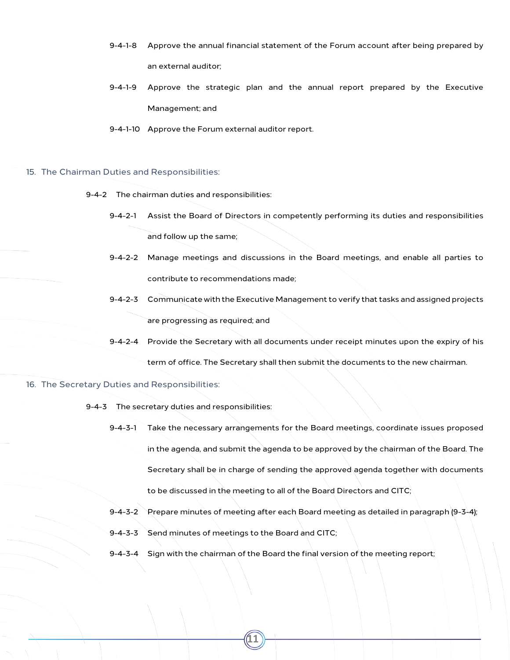- 9-4-1-8 Approve the annual financial statement of the Forum account after being prepared by an external auditor;
- 9-4-1-9 Approve the strategic plan and the annual report prepared by the Executive Management; and
- 9-4-1-10 Approve the Forum external auditor report.
- <span id="page-10-0"></span>15. The Chairman Duties and Responsibilities:
	- 9-4-2 The chairman duties and responsibilities:
		- 9-4-2-1 Assist the Board of Directors in competently performing its duties and responsibilities and follow up the same;
		- 9-4-2-2 Manage meetings and discussions in the Board meetings, and enable all parties to contribute to recommendations made;
		- 9-4-2-3 Communicate with the Executive Management to verify that tasks and assigned projects are progressing as required; and
		- 9-4-2-4 Provide the Secretary with all documents under receipt minutes upon the expiry of his

term of office. The Secretary shall then submit the documents to the new chairman.

- <span id="page-10-1"></span>16. The Secretary Duties and Responsibilities:
	- 9-4-3 The secretary duties and responsibilities:
		- 9-4-3-1 Take the necessary arrangements for the Board meetings, coordinate issues proposed in the agenda, and submit the agenda to be approved by the chairman of the Board. The Secretary shall be in charge of sending the approved agenda together with documents to be discussed in the meeting to all of the Board Directors and CITC;
		- 9-4-3-2 Prepare minutes of meeting after each Board meeting as detailed in paragraph (9-3-4);
		- 9-4-3-3 Send minutes of meetings to the Board and CITC;
		- 9-4-3-4 Sign with the chairman of the Board the final version of the meeting report;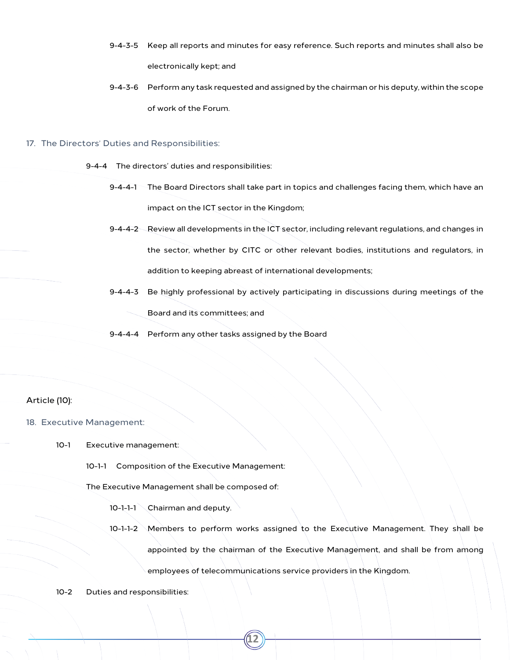- 9-4-3-5 Keep all reports and minutes for easy reference. Such reports and minutes shall also be electronically kept; and
- 9-4-3-6 Perform any task requested and assigned by the chairman or his deputy, within the scope of work of the Forum.

#### <span id="page-11-0"></span>17. The Directors' Duties and Responsibilities:

9-4-4 The directors' duties and responsibilities:

- 9-4-4-1 The Board Directors shall take part in topics and challenges facing them, which have an impact on the ICT sector in the Kingdom;
- 9-4-4-2 Review all developments in the ICT sector, including relevant regulations, and changes in the sector, whether by CITC or other relevant bodies, institutions and regulators, in addition to keeping abreast of international developments;
- 9-4-4-3 Be highly professional by actively participating in discussions during meetings of the Board and its committees; and
- 9-4-4-4 Perform any other tasks assigned by the Board

## Article (10):

- <span id="page-11-1"></span>18. Executive Management:
	- 10-1 Executive management:
		- 10-1-1 Composition of the Executive Management:
		- The Executive Management shall be composed of:
			- 10-1-1-1 Chairman and deputy.
			- 10-1-1-2 Members to perform works assigned to the Executive Management. They shall be appointed by the chairman of the Executive Management, and shall be from among employees of telecommunications service providers in the Kingdom.

**12**

10-2 Duties and responsibilities: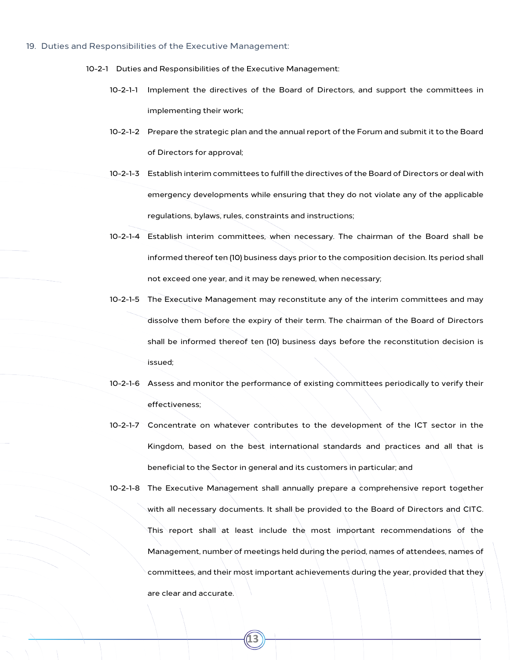#### <span id="page-12-0"></span>19. Duties and Responsibilities of the Executive Management:

- 10-2-1 Duties and Responsibilities of the Executive Management:
	- 10-2-1-1 Implement the directives of the Board of Directors, and support the committees in implementing their work;
	- 10-2-1-2 Prepare the strategic plan and the annual report of the Forum and submit it to the Board of Directors for approval;
	- 10-2-1-3 Establish interim committees to fulfill the directives of the Board of Directors or deal with emergency developments while ensuring that they do not violate any of the applicable regulations, bylaws, rules, constraints and instructions;
	- 10-2-1-4 Establish interim committees, when necessary. The chairman of the Board shall be informed thereof ten (10) business days prior to the composition decision. Its period shall not exceed one year, and it may be renewed, when necessary;
	- 10-2-1-5 The Executive Management may reconstitute any of the interim committees and may dissolve them before the expiry of their term. The chairman of the Board of Directors shall be informed thereof ten (10) business days before the reconstitution decision is issued;
	- 10-2-1-6 Assess and monitor the performance of existing committees periodically to verify their effectiveness;
	- 10-2-1-7 Concentrate on whatever contributes to the development of the ICT sector in the Kingdom, based on the best international standards and practices and all that is beneficial to the Sector in general and its customers in particular; and
	- 10-2-1-8 The Executive Management shall annually prepare a comprehensive report together with all necessary documents. It shall be provided to the Board of Directors and CITC. This report shall at least include the most important recommendations of the Management, number of meetings held during the period, names of attendees, names of committees, and their most important achievements during the year, provided that they are clear and accurate.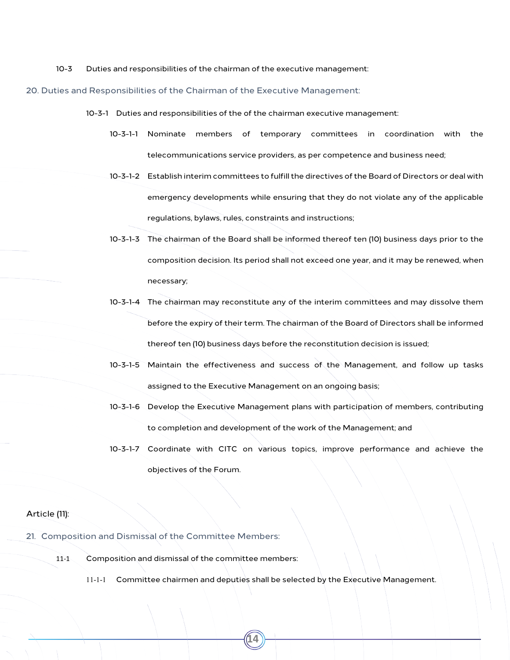10-3 Duties and responsibilities of the chairman of the executive management:

#### <span id="page-13-0"></span>20. Duties and Responsibilities of the Chairman of the Executive Management:

- 10-3-1 Duties and responsibilities of the of the chairman executive management:
	- 10-3-1-1 Nominate members of temporary committees in coordination with the telecommunications service providers, as per competence and business need;
	- 10-3-1-2 Establish interim committees to fulfill the directives of the Board of Directors or deal with emergency developments while ensuring that they do not violate any of the applicable regulations, bylaws, rules, constraints and instructions;
	- 10-3-1-3 The chairman of the Board shall be informed thereof ten (10) business days prior to the composition decision. Its period shall not exceed one year, and it may be renewed, when necessary;
	- 10-3-1-4 The chairman may reconstitute any of the interim committees and may dissolve them before the expiry of their term. The chairman of the Board of Directors shall be informed thereof ten (10) business days before the reconstitution decision is issued;
	- 10-3-1-5 Maintain the effectiveness and success of the Management, and follow up tasks assigned to the Executive Management on an ongoing basis;
	- 10-3-1-6 Develop the Executive Management plans with participation of members, contributing to completion and development of the work of the Management; and
	- 10-3-1-7 Coordinate with CITC on various topics, improve performance and achieve the objectives of the Forum.

## Article (11):

- <span id="page-13-1"></span>21. Composition and Dismissal of the Committee Members:
	- 11-1 Composition and dismissal of the committee members:
		- 11-1-1 Committee chairmen and deputies shall be selected by the Executive Management.

**14**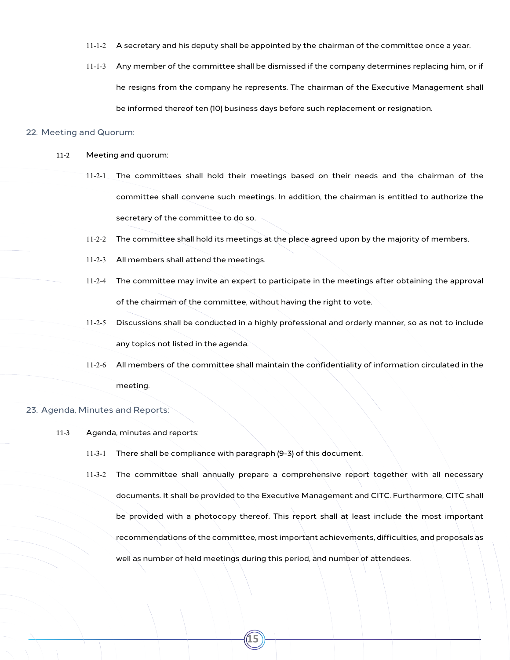- 11-1-2 A secretary and his deputy shall be appointed by the chairman of the committee once a year.
- 11-1-3 Any member of the committee shall be dismissed if the company determines replacing him, or if he resigns from the company he represents. The chairman of the Executive Management shall be informed thereof ten (10) business days before such replacement or resignation.

#### <span id="page-14-0"></span>22. Meeting and Quorum:

- 11-2 Meeting and quorum:
	- 11-2-1 The committees shall hold their meetings based on their needs and the chairman of the committee shall convene such meetings. In addition, the chairman is entitled to authorize the secretary of the committee to do so.
	- 11-2-2 The committee shall hold its meetings at the place agreed upon by the majority of members.
	- 11-2-3 All members shall attend the meetings.
	- 11-2-4 The committee may invite an expert to participate in the meetings after obtaining the approval of the chairman of the committee, without having the right to vote.
	- 11-2-5 Discussions shall be conducted in a highly professional and orderly manner, so as not to include any topics not listed in the agenda.
	- 11-2-6 All members of the committee shall maintain the confidentiality of information circulated in the meeting.

#### <span id="page-14-1"></span>23. Agenda, Minutes and Reports:

- 11-3 Agenda, minutes and reports:
	- 11-3-1 There shall be compliance with paragraph (9-3) of this document.
	- 11-3-2 The committee shall annually prepare a comprehensive report together with all necessary documents. It shall be provided to the Executive Management and CITC. Furthermore, CITC shall be provided with a photocopy thereof. This report shall at least include the most important recommendations of the committee, most important achievements, difficulties, and proposals as well as number of held meetings during this period, and number of attendees.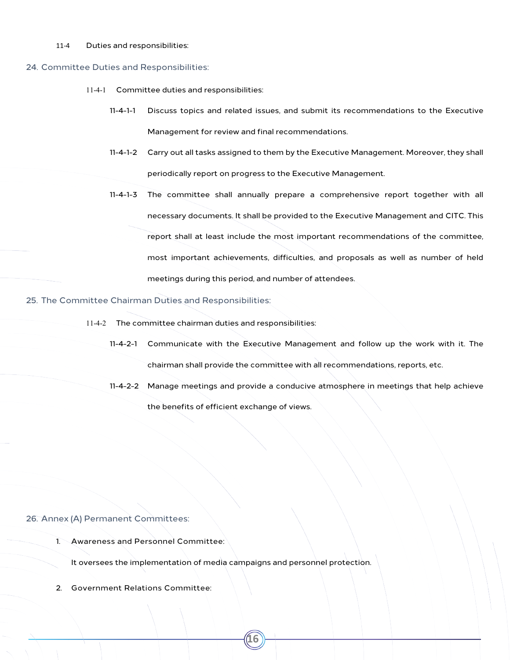#### 11-4 Duties and responsibilities:

#### <span id="page-15-0"></span>24. Committee Duties and Responsibilities:

- 11-4-1 Committee duties and responsibilities:
	- 11-4-1-1 Discuss topics and related issues, and submit its recommendations to the Executive Management for review and final recommendations.
	- 11-4-1-2 Carry out all tasks assigned to them by the Executive Management. Moreover, they shall periodically report on progress to the Executive Management.
	- 11-4-1-3 The committee shall annually prepare a comprehensive report together with all necessary documents. It shall be provided to the Executive Management and CITC. This report shall at least include the most important recommendations of the committee, most important achievements, difficulties, and proposals as well as number of held meetings during this period, and number of attendees.

<span id="page-15-1"></span>25. The Committee Chairman Duties and Responsibilities:

- 11-4-2 The committee chairman duties and responsibilities:
	- 11-4-2-1 Communicate with the Executive Management and follow up the work with it. The chairman shall provide the committee with all recommendations, reports, etc.
	- 11-4-2-2 Manage meetings and provide a conducive atmosphere in meetings that help achieve the benefits of efficient exchange of views.

#### <span id="page-15-2"></span>26. Annex (A) Permanent Committees:

1. Awareness and Personnel Committee:

It oversees the implementation of media campaigns and personnel protection.

**16**

2. Government Relations Committee: